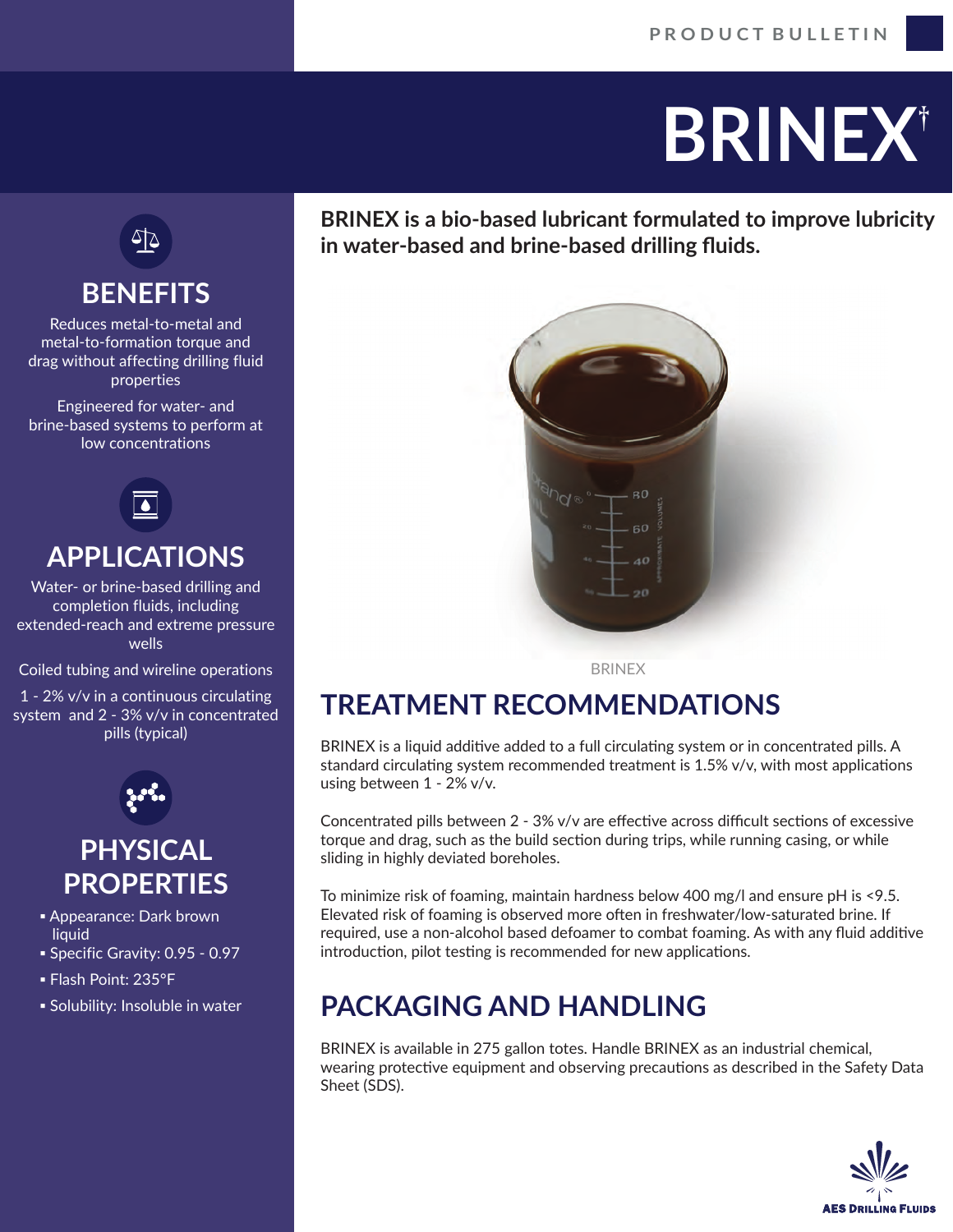# **BRINEX**†

∆∕ि

# **BENEFITS**

Reduces metal-to-metal and metal-to-formation torque and drag without affecting drilling fluid properties

Engineered for water- and brine-based systems to perform at low concentrations



#### **APPLICATIONS**

Water- or brine-based drilling and completion fluids, including extended-reach and extreme pressure wells

Coiled tubing and wireline operations

1 - 2% v/v in a continuous circulating system and 2 - 3% v/v in concentrated pills (typical)



### **PHYSICAL PROPERTIES**

- **Appearance: Dark brown liquid**
- Specific Gravity: 0.95 0.97
- Flash Point: 235°F
- Solubility: Insoluble in water

**BRINEX is a bio-based lubricant formulated to improve lubricity in water-based and brine-based drilling fluids.**



BRINEX

# **TREATMENT RECOMMENDATIONS**

BRINEX is a liquid additive added to a full circulating system or in concentrated pills. A standard circulating system recommended treatment is  $1.5\%$  v/v, with most applications using between 1 - 2% v/v.

Concentrated pills between  $2 - 3\%$  v/v are effective across difficult sections of excessive torque and drag, such as the build section during trips, while running casing, or while sliding in highly deviated boreholes.

To minimize risk of foaming, maintain hardness below 400 mg/l and ensure pH is <9.5. Elevated risk of foaming is observed more often in freshwater/low-saturated brine. If required, use a non-alcohol based defoamer to combat foaming. As with any fluid additive introduction, pilot testing is recommended for new applications.

# **PACKAGING AND HANDLING**

BRINEX is available in 275 gallon totes. Handle BRINEX as an industrial chemical, wearing protective equipment and observing precautions as described in the Safety Data Sheet (SDS).